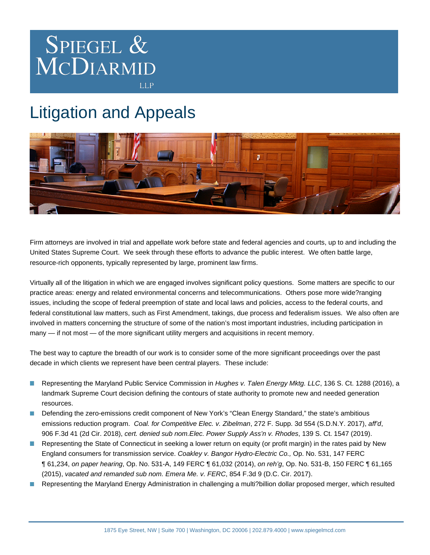

## Litigation and Appeals



Firm attorneys are involved in trial and appellate work before state and federal agencies and courts, up to and including the United States Supreme Court. We seek through these efforts to advance the public interest. We often battle large, resource-rich opponents, typically represented by large, prominent law firms.

Virtually all of the litigation in which we are engaged involves significant policy questions. Some matters are specific to our practice areas: energy and related environmental concerns and telecommunications. Others pose more wide?ranging issues, including the scope of federal preemption of state and local laws and policies, access to the federal courts, and federal constitutional law matters, such as First Amendment, takings, due process and federalism issues. We also often are involved in matters concerning the structure of some of the nation's most important industries, including participation in many — if not most — of the more significant utility mergers and acquisitions in recent memory.

The best way to capture the breadth of our work is to consider some of the more significant proceedings over the past decade in which clients we represent have been central players. These include:

- Representing the Maryland Public Service Commission in Hughes v. Talen Energy Mktg. LLC, 136 S. Ct. 1288 (2016), a **The State** landmark Supreme Court decision defining the contours of state authority to promote new and needed generation resources.
- Defending the zero-emissions credit component of New York's "Clean Energy Standard," the state's ambitious emissions reduction program. Coal. for Competitive Elec. v. Zibelman, 272 F. Supp. 3d 554 (S.D.N.Y. 2017), aff'd, 906 F.3d 41 (2d Cir. 2018), cert. denied sub nom.Elec. Power Supply Ass'n v. Rhodes, 139 S. Ct. 1547 (2019).
- Representing the State of Connecticut in seeking a lower return on equity (or profit margin) in the rates paid by New England consumers for transmission service. Coakley v. Bangor Hydro-Electric Co., Op. No. 531, 147 FERC ¶ 61,234, on paper hearing, Op. No. 531-A, 149 FERC ¶ 61,032 (2014), on reh'g, Op. No. 531-B, 150 FERC ¶ 61,165 (2015), vacated and remanded sub nom. Emera Me. v. FERC, 854 F.3d 9 (D.C. Cir. 2017).
- Representing the Maryland Energy Administration in challenging a multi?billion dollar proposed merger, which resulted